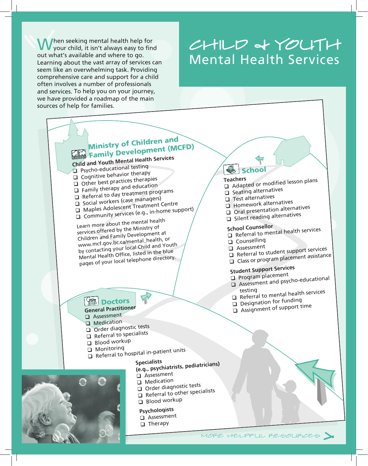When seeking mental health help for<br>
your child, it isn't always easy to find<br>
out what's available and where to go out what's available and where to go. Learning about the vast array of services can seem like an overwhelming task. Providing comprehensive care and support for a child often involves a number of professionals and services. To help you on your journey, we have provided a roadmap of the main sources of help for families.

# Mental Health Services  $CHILD + YOUTH$

# **Ministry of Children and Example 2 Family Development (MCFD)**

# Child and Youth Mental Health Services

- $\Box$  Psycho-educational testing
- $\Box$  Cognitive behavior therapy
- $\Box$  Other best practices therapies
- $\Box$  Family therapy and education  $\Box$  Referral to day treatment programs
- **Q** Social workers (case managers)
- 
- Adolescent Treatment Centre **Q** Community services (e.g., in-home support)
- 

Learn more about the mental health services offered by the Ministry o<sup>f</sup> Children and Family Development at www.mcf.gov.bc.ca/mental\_health, or by contacting your local Child and Youth Mental Health Office, listed in the blue pages of your local telephone directory.

#### **Doctors** General Practitioner

- **Q** Assessment
- **Q** Medication
- Order diagnostic tests
- $\Box$  Referral to specialists
- Blood workup
- **Q** Monitoring
- Referral to hospital in-patient units<br>Specialists

## Specialists (e.g., psychiatrists, pediatricians)

- **Q** Assessment
- **Q** Medication
- Order diagnostic tests
- $\Box$  Referral to other specialists
- Blood workup

#### Psychologists

- **Q** Assessment
- Therapy

### hool

- Teachers
- Adapted or modified lesson plans
- $\Box$  Seating alternatives
- $\Box$  Test alternatives
- **Q** Homework alternatives
- Oral presentation alternatives  $\Box$  Silent reading alternatives
- 

### School Counsellor Referral to mental health services

- 
- Q Counselling<br>Q Assessment
	-
- **□** Assessment<br>□ Referral to student support services
- <sup>q</sup> Class or program placement assistance

### Student Support Services

- **Q** Program placement
- <sup>q</sup> Assessment and psycho-educationa<sup>l</sup>
- 
- **vesting**<br>□ Referral to mental health services
- Designation for funding
- <sup>q</sup> Assignment of support time
- 

 $M$ OBE HELPFUL BESOUBCES